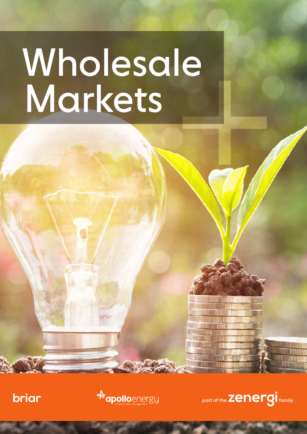# Markets Wholesale

briar



part of the **Zenergi** family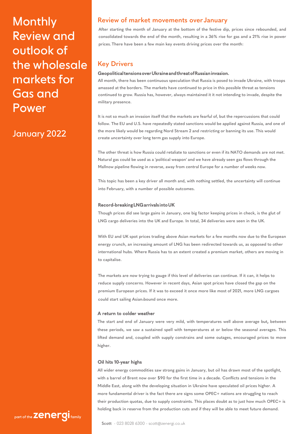**Monthly** Review and outlook of the wholesale markets for Gas and Power

# January 2022

# **Review of market movements over January**

**After starting the month of January at the bottom of the festive dip, prices since rebounded, and consolidated towards the end of the month, resulting in a 36% rise for gas and a 21% rise in power prices. There have been a few main key events driving prices over the month:** 

# **Key Drivers**

# **Geopolitical tensions over Ukraine and threat of Russian invasion.**

**All month, there has been continuous speculation that Russia is posed to invade Ukraine, with troops amassed at the borders. The markets have continued to price in this possible threat as tensions continued to grow. Russia has, however, always maintained it it not intending to invade, despite the military presence.** 

**It is not so much an invasion itself that the markets are fearful of, but the repercussions that could follow. The EU and U.S. have repeatedly stated sanctions would be applied against Russia, and one of the more likely would be regarding Nord Stream 2 and restricting or banning its use. This would create uncertainty over long term gas supply into Europe.** 

**The other threat is how Russia could retaliate to sanctions or even if its NATO demands are not met. Natural gas could be used as a 'political weapon' and we have already seen gas flows through the Mallnow pipeline flowing in reverse, away from central Europe for a number of weeks now.** 

**This topic has been a key driver all month and, with nothing settled, the uncertainty will continue into February, with a number of possible outcomes.** 

# **Record-breaking LNG arrivals into UK**

**Though prices did see large gains in January, one big factor keeping prices in check, is the glut of LNG cargo deliveries into the UK and Europe. In total, 34 deliveries were seen in the UK.**

**With EU and UK spot prices trading above Asian markets for a few months now due to the European energy crunch, an increasing amount of LNG has been redirected towards us, as opposed to other international hubs. Where Russia has to an extent created a premium market, others are moving in to capitalise.** 

**The markets are now trying to gauge if this level of deliveries can continue. If it can, it helps to reduce supply concerns. However in recent days, Asian spot prices have closed the gap on the premium European prices. If it was to exceed it once more like most of 2021, more LNG cargoes could start sailing Asian-bound once more.** 

# **A return to colder weather**

**The start and end of January were very mild, with temperatures well above average but, between these periods, we saw a sustained spell with temperatures at or below the seasonal averages. This lifted demand and, coupled with supply constrains and some outages, encouraged prices to move higher.** 

# **Oil hits 10-year highs**

**All wider energy commodities saw strong gains in January, but oil has drawn most of the spotlight, with a barrel of Brent now over \$90 for the first time in a decade. Conflicts and tensions in the Middle East, along with the developing situation in Ukraine have speculated oil prices higher. A more fundamental driver is the fact there are signs some OPEC+ nations are struggling to reach their production quotas, due to supply constraints. This places doubt as to just how much OPEC+ is holding back in reserve from the production cuts and if they will be able to meet future demand.** 

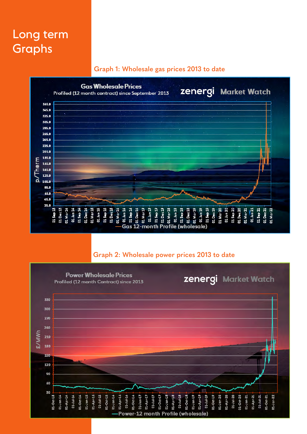# Long term Graphs

# **Graph 1: Wholesale gas prices 2013 to date**



# **Graph 2: Wholesale power prices 2013 to date**